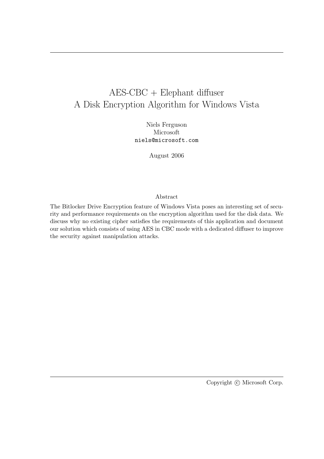# AES-CBC + Elephant diffuser A Disk Encryption Algorithm for Windows Vista

Niels Ferguson Microsoft niels@microsoft.com

August 2006

#### Abstract

The Bitlocker Drive Encryption feature of Windows Vista poses an interesting set of security and performance requirements on the encryption algorithm used for the disk data. We discuss why no existing cipher satisfies the requirements of this application and document our solution which consists of using AES in CBC mode with a dedicated diffuser to improve the security against manipulation attacks.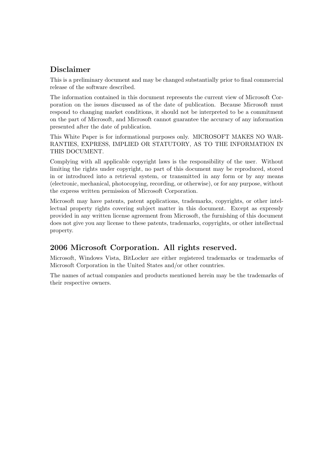## Disclaimer

This is a preliminary document and may be changed substantially prior to final commercial release of the software described.

The information contained in this document represents the current view of Microsoft Corporation on the issues discussed as of the date of publication. Because Microsoft must respond to changing market conditions, it should not be interpreted to be a commitment on the part of Microsoft, and Microsoft cannot guarantee the accuracy of any information presented after the date of publication.

This White Paper is for informational purposes only. MICROSOFT MAKES NO WAR-RANTIES, EXPRESS, IMPLIED OR STATUTORY, AS TO THE INFORMATION IN THIS DOCUMENT.

Complying with all applicable copyright laws is the responsibility of the user. Without limiting the rights under copyright, no part of this document may be reproduced, stored in or introduced into a retrieval system, or transmitted in any form or by any means (electronic, mechanical, photocopying, recording, or otherwise), or for any purpose, without the express written permission of Microsoft Corporation.

Microsoft may have patents, patent applications, trademarks, copyrights, or other intellectual property rights covering subject matter in this document. Except as expressly provided in any written license agreement from Microsoft, the furnishing of this document does not give you any license to these patents, trademarks, copyrights, or other intellectual property.

### 2006 Microsoft Corporation. All rights reserved.

Microsoft, Windows Vista, BitLocker are either registered trademarks or trademarks of Microsoft Corporation in the United States and/or other countries.

The names of actual companies and products mentioned herein may be the trademarks of their respective owners.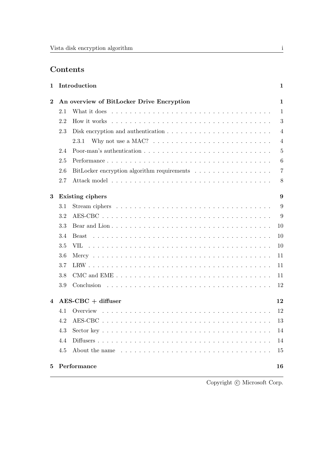## Contents

| 1            |                                           | Introduction                                                                                                                                                                                                                  | $\mathbf 1$    |  |
|--------------|-------------------------------------------|-------------------------------------------------------------------------------------------------------------------------------------------------------------------------------------------------------------------------------|----------------|--|
| $\bf{2}$     | An overview of BitLocker Drive Encryption |                                                                                                                                                                                                                               |                |  |
|              | 2.1                                       |                                                                                                                                                                                                                               | $\mathbf{1}$   |  |
|              | 2.2                                       |                                                                                                                                                                                                                               | 3              |  |
|              | 2.3                                       |                                                                                                                                                                                                                               | $\overline{4}$ |  |
|              |                                           | Why not use a MAC? $\dots \dots \dots \dots \dots \dots \dots \dots \dots \dots$<br>2.3.1                                                                                                                                     | $\overline{4}$ |  |
|              | 2.4                                       |                                                                                                                                                                                                                               | 5              |  |
|              | 2.5                                       |                                                                                                                                                                                                                               | 6              |  |
|              | 2.6                                       |                                                                                                                                                                                                                               | $\overline{7}$ |  |
|              | 2.7                                       |                                                                                                                                                                                                                               | 8              |  |
| 3            | Existing ciphers                          |                                                                                                                                                                                                                               |                |  |
|              | 3.1                                       |                                                                                                                                                                                                                               | 9              |  |
|              | 3.2                                       |                                                                                                                                                                                                                               | 9              |  |
|              | 3.3                                       |                                                                                                                                                                                                                               | 10             |  |
|              | 3.4                                       |                                                                                                                                                                                                                               | 10             |  |
|              | 3.5                                       |                                                                                                                                                                                                                               | 10             |  |
|              | 3.6                                       |                                                                                                                                                                                                                               | 11             |  |
|              | 3.7                                       |                                                                                                                                                                                                                               | 11             |  |
|              | 3.8                                       |                                                                                                                                                                                                                               | 11             |  |
|              | 3.9                                       |                                                                                                                                                                                                                               | 12             |  |
| 4            |                                           | $AES-CBC + difluser$                                                                                                                                                                                                          | 12             |  |
|              | 4.1                                       |                                                                                                                                                                                                                               | 12             |  |
|              | 4.2                                       |                                                                                                                                                                                                                               |                |  |
|              | 4.3                                       | $\text{Sector key } \dots \dots \dots \dots \dots \dots \dots \dots \dots \dots \dots \dots \dots \dots \dots \dots$                                                                                                          | 14             |  |
|              | 4.4                                       |                                                                                                                                                                                                                               | 14             |  |
|              | 4.5                                       | About the name enterprise in the contract of the name of the set of the set of the set of the set of the set of the set of the set of the set of the set of the set of the set of the set of the set of the set of the set of | 15             |  |
| $\mathbf{5}$ |                                           | Performance                                                                                                                                                                                                                   | 16             |  |

Copyright  $\copyright$  Microsoft Corp.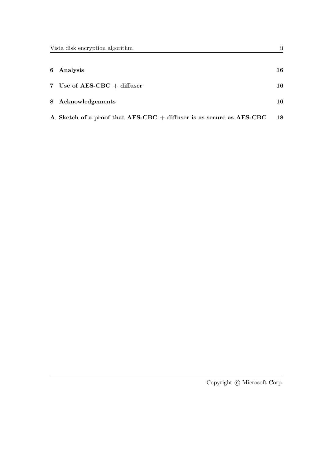| 6 Analysis                                                          | 16 |
|---------------------------------------------------------------------|----|
| 7 Use of AES-CBC $+$ diffuser                                       | 16 |
| 8 Acknowledgements                                                  | 16 |
| A Sketch of a proof that AES-CBC + diffuser is as secure as AES-CBC | 18 |

Copyright  $\copyright$  Microsoft Corp.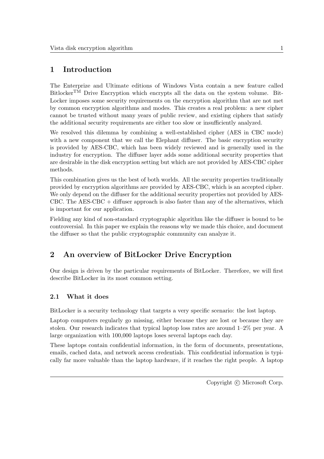## 1 Introduction

The Enterprize and Ultimate editions of Windows Vista contain a new feature called BitlockerTM Drive Encryption which encrypts all the data on the system volume. Bit-Locker imposes some security requirements on the encryption algorithm that are not met by common encryption algorithms and modes. This creates a real problem: a new cipher cannot be trusted without many years of public review, and existing ciphers that satisfy the additional security requirements are either too slow or insufficiently analyzed.

We resolved this dilemma by combining a well-established cipher (AES in CBC mode) with a new component that we call the Elephant diffuser. The basic encryption security is provided by AES-CBC, which has been widely reviewed and is generally used in the industry for encryption. The diffuser layer adds some additional security properties that are desirable in the disk encryption setting but which are not provided by AES-CBC cipher methods.

This combination gives us the best of both worlds. All the security properties traditionally provided by encryption algorithms are provided by AES-CBC, which is an accepted cipher. We only depend on the diffuser for the additional security properties not provided by AES-CBC. The  $\text{AES-CBC}$  + diffuser approach is also faster than any of the alternatives, which is important for our application.

Fielding any kind of non-standard cryptographic algorithm like the diffuser is bound to be controversial. In this paper we explain the reasons why we made this choice, and document the diffuser so that the public cryptographic community can analyze it.

## 2 An overview of BitLocker Drive Encryption

Our design is driven by the particular requirements of BitLocker. Therefore, we will first describe BitLocker in its most common setting.

### 2.1 What it does

BitLocker is a security technology that targets a very specific scenario: the lost laptop.

Laptop computers regularly go missing, either because they are lost or because they are stolen. Our research indicates that typical laptop loss rates are around 1–2% per year. A large organization with 100,000 laptops loses several laptops each day.

These laptops contain confidential information, in the form of documents, presentations, emails, cached data, and network access credentials. This confidential information is typically far more valuable than the laptop hardware, if it reaches the right people. A laptop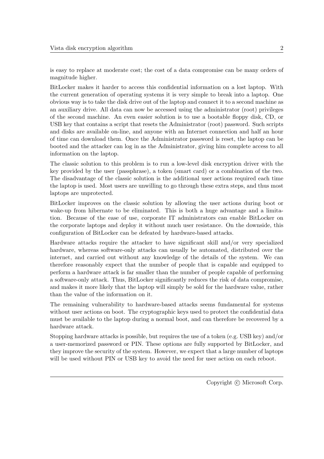is easy to replace at moderate cost; the cost of a data compromise can be many orders of magnitude higher.

BitLocker makes it harder to access this confidential information on a lost laptop. With the current generation of operating systems it is very simple to break into a laptop. One obvious way is to take the disk drive out of the laptop and connect it to a second machine as an auxiliary drive. All data can now be accessed using the administrator (root) privileges of the second machine. An even easier solution is to use a bootable floppy disk, CD, or USB key that contains a script that resets the Administrator (root) password. Such scripts and disks are available on-line, and anyone with an Internet connection and half an hour of time can download them. Once the Administrator password is reset, the laptop can be booted and the attacker can log in as the Administrator, giving him complete access to all information on the laptop.

The classic solution to this problem is to run a low-level disk encryption driver with the key provided by the user (passphrase), a token (smart card) or a combination of the two. The disadvantage of the classic solution is the additional user actions required each time the laptop is used. Most users are unwilling to go through these extra steps, and thus most laptops are unprotected.

BitLocker improves on the classic solution by allowing the user actions during boot or wake-up from hibernate to be eliminated. This is both a huge advantage and a limitation. Because of the ease of use, corporate IT administrators can enable BitLocker on the corporate laptops and deploy it without much user resistance. On the downside, this configuration of BitLocker can be defeated by hardware-based attacks.

Hardware attacks require the attacker to have significant skill and/or very specialized hardware, whereas software-only attacks can usually be automated, distributed over the internet, and carried out without any knowledge of the details of the system. We can therefore reasonably expect that the number of people that is capable and equipped to perform a hardware attack is far smaller than the number of people capable of performing a software-only attack. Thus, BitLocker significantly reduces the risk of data compromise, and makes it more likely that the laptop will simply be sold for the hardware value, rather than the value of the information on it.

The remaining vulnerability to hardware-based attacks seems fundamental for systems without user actions on boot. The cryptographic keys used to protect the confidential data must be available to the laptop during a normal boot, and can therefore be recovered by a hardware attack.

Stopping hardware attacks is possible, but requires the use of a token (e.g. USB key) and/or a user-memorized password or PIN. These options are fully supported by BitLocker, and they improve the security of the system. However, we expect that a large number of laptops will be used without PIN or USB key to avoid the need for user action on each reboot.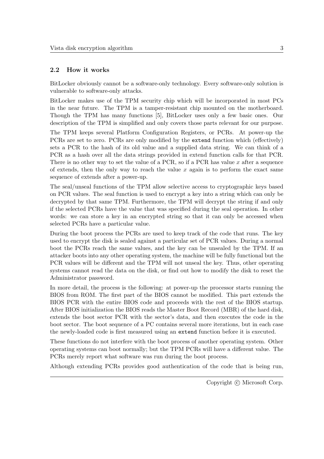#### 2.2 How it works

BitLocker obviously cannot be a software-only technology. Every software-only solution is vulnerable to software-only attacks.

BitLocker makes use of the TPM security chip which will be incorporated in most PCs in the near future. The TPM is a tamper-resistant chip mounted on the motherboard. Though the TPM has many functions [5], BitLocker uses only a few basic ones. Our description of the TPM is simplified and only covers those parts relevant for our purpose.

The TPM keeps several Platform Configuration Registers, or PCRs. At power-up the PCRs are set to zero. PCRs are only modified by the extend function which (effectively) sets a PCR to the hash of its old value and a supplied data string. We can think of a PCR as a hash over all the data strings provided in extend function calls for that PCR. There is no other way to set the value of a PCR, so if a PCR has value  $x$  after a sequence of extends, then the only way to reach the value  $x$  again is to perform the exact same sequence of extends after a power-up.

The seal/unseal functions of the TPM allow selective access to cryptographic keys based on PCR values. The seal function is used to encrypt a key into a string which can only be decrypted by that same TPM. Furthermore, the TPM will decrypt the string if and only if the selected PCRs have the value that was specified during the seal operation. In other words: we can store a key in an encrypted string so that it can only be accessed when selected PCRs have a particular value.

During the boot process the PCRs are used to keep track of the code that runs. The key used to encrypt the disk is sealed against a particular set of PCR values. During a normal boot the PCRs reach the same values, and the key can be unsealed by the TPM. If an attacker boots into any other operating system, the machine will be fully functional but the PCR values will be different and the TPM will not unseal the key. Thus, other operating systems cannot read the data on the disk, or find out how to modify the disk to reset the Administrator password.

In more detail, the process is the following: at power-up the processor starts running the BIOS from ROM. The first part of the BIOS cannot be modified. This part extends the BIOS PCR with the entire BIOS code and proceeds with the rest of the BIOS startup. After BIOS initialization the BIOS reads the Master Boot Record (MBR) of the hard disk, extends the boot sector PCR with the sector's data, and then executes the code in the boot sector. The boot sequence of a PC contains several more iterations, but in each case the newly-loaded code is first measured using an extend function before it is executed.

These functions do not interfere with the boot process of another operating system. Other operating systems can boot normally; but the TPM PCRs will have a different value. The PCRs merely report what software was run during the boot process.

Although extending PCRs provides good authentication of the code that is being run,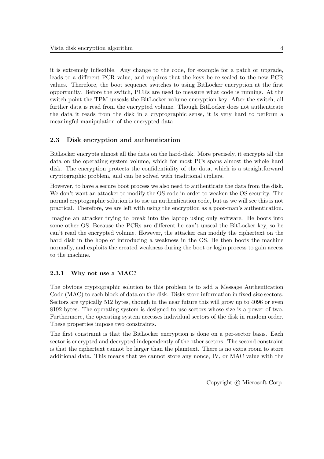it is extremely inflexible. Any change to the code, for example for a patch or upgrade, leads to a different PCR value, and requires that the keys be re-sealed to the new PCR values. Therefore, the boot sequence switches to using BitLocker encryption at the first opportunity. Before the switch, PCRs are used to measure what code is running. At the switch point the TPM unseals the BitLocker volume encryption key. After the switch, all further data is read from the encrypted volume. Though BitLocker does not authenticate the data it reads from the disk in a cryptographic sense, it is very hard to perform a meaningful manipulation of the encrypted data.

### 2.3 Disk encryption and authentication

BitLocker encrypts almost all the data on the hard-disk. More precisely, it encrypts all the data on the operating system volume, which for most PCs spans almost the whole hard disk. The encryption protects the confidentiality of the data, which is a straightforward cryptographic problem, and can be solved with traditional ciphers.

However, to have a secure boot process we also need to authenticate the data from the disk. We don't want an attacker to modify the OS code in order to weaken the OS security. The normal cryptographic solution is to use an authentication code, but as we will see this is not practical. Therefore, we are left with using the encryption as a poor-man's authentication.

Imagine an attacker trying to break into the laptop using only software. He boots into some other OS. Because the PCRs are different he can't unseal the BitLocker key, so he can't read the encrypted volume. However, the attacker can modify the ciphertext on the hard disk in the hope of introducing a weakness in the OS. He then boots the machine normally, and exploits the created weakness during the boot or login process to gain access to the machine.

#### 2.3.1 Why not use a MAC?

The obvious cryptographic solution to this problem is to add a Message Authentication Code (MAC) to each block of data on the disk. Disks store information in fixed-size sectors. Sectors are typically 512 bytes, though in the near future this will grow up to 4096 or even 8192 bytes. The operating system is designed to use sectors whose size is a power of two. Furthermore, the operating system accesses individual sectors of the disk in random order. These properties impose two constraints.

The first constraint is that the BitLocker encryption is done on a per-sector basis. Each sector is encrypted and decrypted independently of the other sectors. The second constraint is that the ciphertext cannot be larger than the plaintext. There is no extra room to store additional data. This means that we cannot store any nonce, IV, or MAC value with the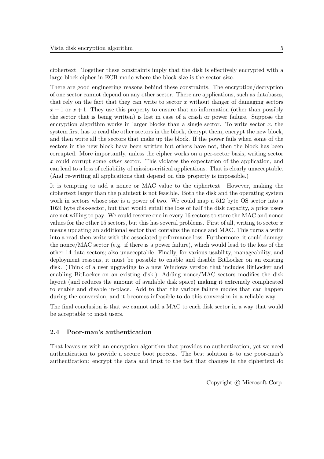ciphertext. Together these constraints imply that the disk is effectively encrypted with a large block cipher in ECB mode where the block size is the sector size.

There are good engineering reasons behind these constraints. The encryption/decryption of one sector cannot depend on any other sector. There are applications, such as databases, that rely on the fact that they can write to sector x without danger of damaging sectors  $x - 1$  or  $x + 1$ . They use this property to ensure that no information (other than possibly the sector that is being written) is lost in case of a crash or power failure. Suppose the encryption algorithm works in larger blocks than a single sector. To write sector  $x$ , the system first has to read the other sectors in the block, decrypt them, encrypt the new block, and then write all the sectors that make up the block. If the power fails when some of the sectors in the new block have been written but others have not, then the block has been corrupted. More importantly, unless the cipher works on a per-sector basis, writing sector x could corrupt some other sector. This violates the expectation of the application, and can lead to a loss of reliability of mission-critical applications. That is clearly unacceptable. (And re-writing all applications that depend on this property is impossible.)

It is tempting to add a nonce or MAC value to the ciphertext. However, making the ciphertext larger than the plaintext is not feasible. Both the disk and the operating system work in sectors whose size is a power of two. We could map a 512 byte OS sector into a 1024 byte disk-sector, but that would entail the loss of half the disk capacity, a price users are not willing to pay. We could reserve one in every 16 sectors to store the MAC and nonce values for the other 15 sectors, but this has several problems. First of all, writing to sector  $x$ means updating an additional sector that contains the nonce and MAC. This turns a write into a read-then-write with the associated performance loss. Furthermore, it could damage the nonce/MAC sector (e.g. if there is a power failure), which would lead to the loss of the other 14 data sectors; also unacceptable. Finally, for various usability, manageability, and deployment reasons, it must be possible to enable and disable BitLocker on an existing disk. (Think of a user upgrading to a new Windows version that includes BitLocker and enabling BitLocker on an existing disk.) Adding nonce/MAC sectors modifies the disk layout (and reduces the amount of available disk space) making it extremely complicated to enable and disable in-place. Add to that the various failure modes that can happen during the conversion, and it becomes infeasible to do this conversion in a reliable way.

The final conclusion is that we cannot add a MAC to each disk sector in a way that would be acceptable to most users.

#### 2.4 Poor-man's authentication

That leaves us with an encryption algorithm that provides no authentication, yet we need authentication to provide a secure boot process. The best solution is to use poor-man's authentication: encrypt the data and trust to the fact that changes in the ciphertext do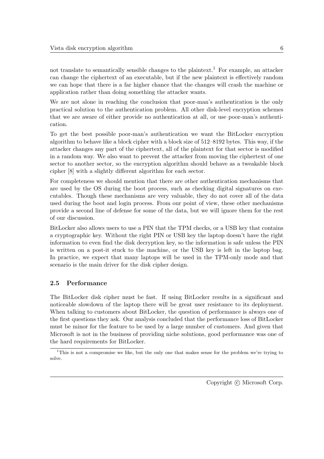not translate to semantically sensible changes to the plaintext.<sup>1</sup> For example, an attacker can change the ciphertext of an executable, but if the new plaintext is effectively random we can hope that there is a far higher chance that the changes will crash the machine or application rather than doing something the attacker wants.

We are not alone in reaching the conclusion that poor-man's authentication is the only practical solution to the authentication problem. All other disk-level encryption schemes that we are aware of either provide no authentication at all, or use poor-man's authentication.

To get the best possible poor-man's authentication we want the BitLocker encryption algorithm to behave like a block cipher with a block size of 512–8192 bytes. This way, if the attacker changes any part of the ciphertext, all of the plaintext for that sector is modified in a random way. We also want to prevent the attacker from moving the ciphertext of one sector to another sector, so the encryption algorithm should behave as a tweakable block cipher [8] with a slightly different algorithm for each sector.

For completeness we should mention that there are other authentication mechanisms that are used by the OS during the boot process, such as checking digital signatures on executables. Though these mechanisms are very valuable, they do not cover all of the data used during the boot and login process. From our point of view, these other mechanisms provide a second line of defense for some of the data, but we will ignore them for the rest of our discussion.

BitLocker also allows users to use a PIN that the TPM checks, or a USB key that contains a cryptographic key. Without the right PIN or USB key the laptop doesn't have the right information to even find the disk decryption key, so the information is safe unless the PIN is written on a post-it stuck to the machine, or the USB key is left in the laptop bag. In practice, we expect that many laptops will be used in the TPM-only mode and that scenario is the main driver for the disk cipher design.

#### 2.5 Performance

The BitLocker disk cipher must be fast. If using BitLocker results in a significant and noticeable slowdown of the laptop there will be great user resistance to its deployment. When talking to customers about BitLocker, the question of performance is always one of the first questions they ask. Our analysis concluded that the performance loss of BitLocker must be minor for the feature to be used by a large number of customers. And given that Microsoft is not in the business of providing niche solutions, good performance was one of the hard requirements for BitLocker.

<sup>&</sup>lt;sup>1</sup>This is not a compromise we like, but the only one that makes sense for the problem we're trying to solve.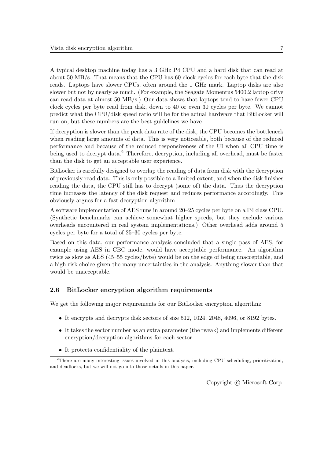A typical desktop machine today has a 3 GHz P4 CPU and a hard disk that can read at about 50 MB/s. That means that the CPU has 60 clock cycles for each byte that the disk reads. Laptops have slower CPUs, often around the 1 GHz mark. Laptop disks are also slower but not by nearly as much. (For example, the Seagate Momentus 5400.2 laptop drive can read data at almost 50 MB/s.) Our data shows that laptops tend to have fewer CPU clock cycles per byte read from disk, down to 40 or even 30 cycles per byte. We cannot predict what the CPU/disk speed ratio will be for the actual hardware that BitLocker will run on, but these numbers are the best guidelines we have.

If decryption is slower than the peak data rate of the disk, the CPU becomes the bottleneck when reading large amounts of data. This is very noticeable, both because of the reduced performance and because of the reduced responsiveness of the UI when all CPU time is being used to decrypt data.<sup>2</sup> Therefore, decryption, including all overhead, must be faster than the disk to get an acceptable user experience.

BitLocker is carefully designed to overlap the reading of data from disk with the decryption of previously read data. This is only possible to a limited extent, and when the disk finishes reading the data, the CPU still has to decrypt (some of) the data. Thus the decryption time increases the latency of the disk request and reduces performance accordingly. This obviously argues for a fast decryption algorithm.

A software implementation of AES runs in around 20–25 cycles per byte on a P4 class CPU. (Synthetic benchmarks can achieve somewhat higher speeds, but they exclude various overheads encountered in real system implementations.) Other overhead adds around 5 cycles per byte for a total of 25–30 cycles per byte.

Based on this data, our performance analysis concluded that a single pass of AES, for example using AES in CBC mode, would have acceptable performance. An algorithm twice as slow as AES (45–55 cycles/byte) would be on the edge of being unacceptable, and a high-risk choice given the many uncertainties in the analysis. Anything slower than that would be unacceptable.

#### 2.6 BitLocker encryption algorithm requirements

We get the following major requirements for our BitLocker encryption algorithm:

- It encrypts and decrypts disk sectors of size 512, 1024, 2048, 4096, or 8192 bytes.
- It takes the sector number as an extra parameter (the tweak) and implements different encryption/decryption algorithms for each sector.
- It protects confidentiality of the plaintext.

<sup>2</sup>There are many interesting issues involved in this analysis, including CPU scheduling, prioritization, and deadlocks, but we will not go into those details in this paper.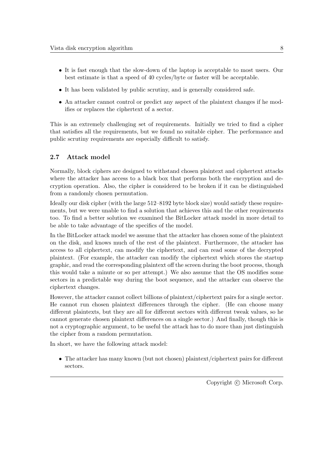- It is fast enough that the slow-down of the laptop is acceptable to most users. Our best estimate is that a speed of 40 cycles/byte or faster will be acceptable.
- It has been validated by public scrutiny, and is generally considered safe.
- An attacker cannot control or predict any aspect of the plaintext changes if he modifies or replaces the ciphertext of a sector.

This is an extremely challenging set of requirements. Initially we tried to find a cipher that satisfies all the requirements, but we found no suitable cipher. The performance and public scrutiny requirements are especially difficult to satisfy.

### 2.7 Attack model

Normally, block ciphers are designed to withstand chosen plaintext and ciphertext attacks where the attacker has access to a black box that performs both the encryption and decryption operation. Also, the cipher is considered to be broken if it can be distinguished from a randomly chosen permutation.

Ideally our disk cipher (with the large 512–8192 byte block size) would satisfy these requirements, but we were unable to find a solution that achieves this and the other requirements too. To find a better solution we examined the BitLocker attack model in more detail to be able to take advantage of the specifics of the model.

In the BitLocker attack model we assume that the attacker has chosen some of the plaintext on the disk, and knows much of the rest of the plaintext. Furthermore, the attacker has access to all ciphertext, can modify the ciphertext, and can read some of the decrypted plaintext. (For example, the attacker can modify the ciphertext which stores the startup graphic, and read the corresponding plaintext off the screen during the boot process, though this would take a minute or so per attempt.) We also assume that the OS modifies some sectors in a predictable way during the boot sequence, and the attacker can observe the ciphertext changes.

However, the attacker cannot collect billions of plaintext/ciphertext pairs for a single sector. He cannot run chosen plaintext differences through the cipher. (He can choose many different plaintexts, but they are all for different sectors with different tweak values, so he cannot generate chosen plaintext differences on a single sector.) And finally, though this is not a cryptographic argument, to be useful the attack has to do more than just distinguish the cipher from a random permutation.

In short, we have the following attack model:

• The attacker has many known (but not chosen) plaintext/ciphertext pairs for different sectors.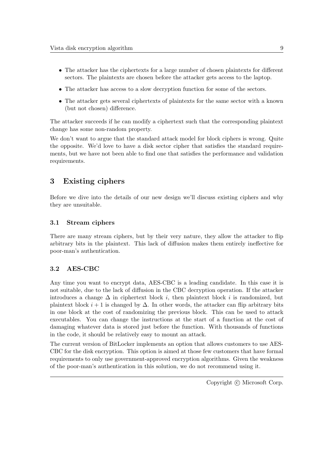- The attacker has the ciphertexts for a large number of chosen plaintexts for different sectors. The plaintexts are chosen before the attacker gets access to the laptop.
- The attacker has access to a slow decryption function for some of the sectors.
- The attacker gets several ciphertexts of plaintexts for the same sector with a known (but not chosen) difference.

The attacker succeeds if he can modify a ciphertext such that the corresponding plaintext change has some non-random property.

We don't want to argue that the standard attack model for block ciphers is wrong. Quite the opposite. We'd love to have a disk sector cipher that satisfies the standard requirements, but we have not been able to find one that satisfies the performance and validation requirements.

### 3 Existing ciphers

Before we dive into the details of our new design we'll discuss existing ciphers and why they are unsuitable.

#### 3.1 Stream ciphers

There are many stream ciphers, but by their very nature, they allow the attacker to flip arbitrary bits in the plaintext. This lack of diffusion makes them entirely ineffective for poor-man's authentication.

#### 3.2 AES-CBC

Any time you want to encrypt data, AES-CBC is a leading candidate. In this case it is not suitable, due to the lack of diffusion in the CBC decryption operation. If the attacker introduces a change  $\Delta$  in ciphertext block *i*, then plaintext block *i* is randomized, but plaintext block  $i + 1$  is changed by  $\Delta$ . In other words, the attacker can flip arbitrary bits in one block at the cost of randomizing the previous block. This can be used to attack executables. You can change the instructions at the start of a function at the cost of damaging whatever data is stored just before the function. With thousands of functions in the code, it should be relatively easy to mount an attack.

The current version of BitLocker implements an option that allows customers to use AES-CBC for the disk encryption. This option is aimed at those few customers that have formal requirements to only use government-approved encryption algorithms. Given the weakness of the poor-man's authentication in this solution, we do not recommend using it.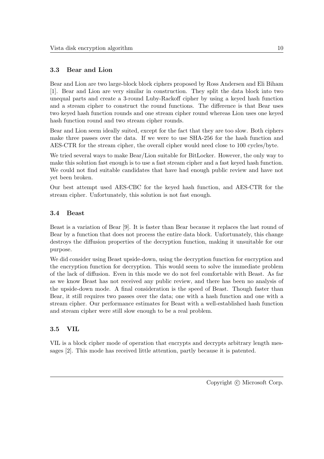#### 3.3 Bear and Lion

Bear and Lion are two large-block block ciphers proposed by Ross Andersen and Eli Biham [1]. Bear and Lion are very similar in construction. They split the data block into two unequal parts and create a 3-round Luby-Rackoff cipher by using a keyed hash function and a stream cipher to construct the round functions. The difference is that Bear uses two keyed hash function rounds and one stream cipher round whereas Lion uses one keyed hash function round and two stream cipher rounds.

Bear and Lion seem ideally suited, except for the fact that they are too slow. Both ciphers make three passes over the data. If we were to use SHA-256 for the hash function and AES-CTR for the stream cipher, the overall cipher would need close to 100 cycles/byte.

We tried several ways to make Bear/Lion suitable for BitLocker. However, the only way to make this solution fast enough is to use a fast stream cipher and a fast keyed hash function. We could not find suitable candidates that have had enough public review and have not yet been broken.

Our best attempt used AES-CBC for the keyed hash function, and AES-CTR for the stream cipher. Unfortunately, this solution is not fast enough.

#### 3.4 Beast

Beast is a variation of Bear [9]. It is faster than Bear because it replaces the last round of Bear by a function that does not process the entire data block. Unfortunately, this change destroys the diffusion properties of the decryption function, making it unsuitable for our purpose.

We did consider using Beast upside-down, using the decryption function for encryption and the encryption function for decryption. This would seem to solve the immediate problem of the lack of diffusion. Even in this mode we do not feel comfortable with Beast. As far as we know Beast has not received any public review, and there has been no analysis of the upside-down mode. A final consideration is the speed of Beast. Though faster than Bear, it still requires two passes over the data; one with a hash function and one with a stream cipher. Our performance estimates for Beast with a well-established hash function and stream cipher were still slow enough to be a real problem.

#### 3.5 VIL

VIL is a block cipher mode of operation that encrypts and decrypts arbitrary length messages [2]. This mode has received little attention, partly because it is patented.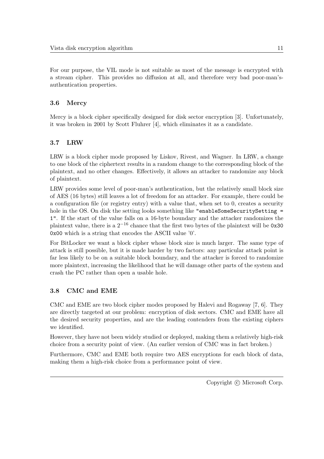For our purpose, the VIL mode is not suitable as most of the message is encrypted with a stream cipher. This provides no diffusion at all, and therefore very bad poor-man'sauthentication properties.

#### 3.6 Mercy

Mercy is a block cipher specifically designed for disk sector encryption [3]. Unfortunately, it was broken in 2001 by Scott Fluhrer [4], which eliminates it as a candidate.

#### 3.7 LRW

LRW is a block cipher mode proposed by Liskov, Rivest, and Wagner. In LRW, a change to one block of the ciphertext results in a random change to the corresponding block of the plaintext, and no other changes. Effectively, it allows an attacker to randomize any block of plaintext.

LRW provides some level of poor-man's authentication, but the relatively small block size of AES (16 bytes) still leaves a lot of freedom for an attacker. For example, there could be a configuration file (or registry entry) with a value that, when set to 0, creates a security hole in the OS. On disk the setting looks something like "enableSomeSecuritySetting = 1". If the start of the value falls on a 16-byte boundary and the attacker randomizes the plaintext value, there is a  $2^{-16}$  chance that the first two bytes of the plaintext will be 0x30 0x00 which is a string that encodes the ASCII value '0'.

For BitLocker we want a block cipher whose block size is much larger. The same type of attack is still possible, but it is made harder by two factors: any particular attack point is far less likely to be on a suitable block boundary, and the attacker is forced to randomize more plaintext, increasing the likelihood that he will damage other parts of the system and crash the PC rather than open a usable hole.

#### 3.8 CMC and EME

CMC and EME are two block cipher modes proposed by Halevi and Rogaway [7, 6]. They are directly targeted at our problem: encryption of disk sectors. CMC and EME have all the desired security properties, and are the leading contenders from the existing ciphers we identified.

However, they have not been widely studied or deployed, making them a relatively high-risk choice from a security point of view. (An earlier version of CMC was in fact broken.)

Furthermore, CMC and EME both require two AES encryptions for each block of data, making them a high-risk choice from a performance point of view.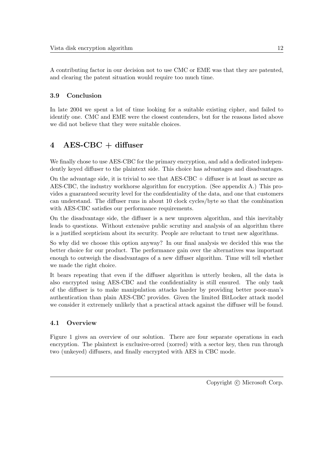A contributing factor in our decision not to use CMC or EME was that they are patented, and clearing the patent situation would require too much time.

### 3.9 Conclusion

In late 2004 we spent a lot of time looking for a suitable existing cipher, and failed to identify one. CMC and EME were the closest contenders, but for the reasons listed above we did not believe that they were suitable choices.

## 4 AES-CBC + diffuser

We finally chose to use AES-CBC for the primary encryption, and add a dedicated independently keyed diffuser to the plaintext side. This choice has advantages and disadvantages.

On the advantage side, it is trivial to see that  $\text{AES-CBC}$  + diffuser is at least as secure as AES-CBC, the industry workhorse algorithm for encryption. (See appendix A.) This provides a guaranteed security level for the confidentiality of the data, and one that customers can understand. The diffuser runs in about 10 clock cycles/byte so that the combination with AES-CBC satisfies our performance requirements.

On the disadvantage side, the diffuser is a new unproven algorithm, and this inevitably leads to questions. Without extensive public scrutiny and analysis of an algorithm there is a justified scepticism about its security. People are reluctant to trust new algorithms.

So why did we choose this option anyway? In our final analysis we decided this was the better choice for our product. The performance gain over the alternatives was important enough to outweigh the disadvantages of a new diffuser algorithm. Time will tell whether we made the right choice.

It bears repeating that even if the diffuser algorithm is utterly broken, all the data is also encrypted using AES-CBC and the confidentiality is still ensured. The only task of the diffuser is to make manipulation attacks harder by providing better poor-man's authentication than plain AES-CBC provides. Given the limited BitLocker attack model we consider it extremely unlikely that a practical attack against the diffuser will be found.

### 4.1 Overview

Figure 1 gives an overview of our solution. There are four separate operations in each encryption. The plaintext is exclusive-orred (xorred) with a sector key, then run through two (unkeyed) diffusers, and finally encrypted with AES in CBC mode.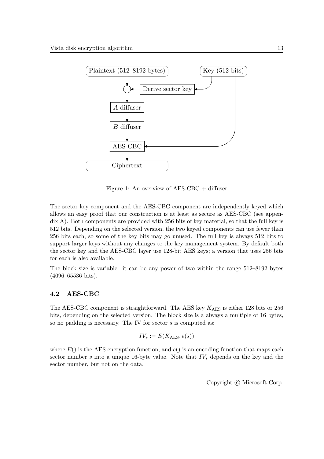

Figure 1: An overview of AES-CBC + diffuser

The sector key component and the AES-CBC component are independently keyed which allows an easy proof that our construction is at least as secure as AES-CBC (see appendix A). Both components are provided with 256 bits of key material, so that the full key is 512 bits. Depending on the selected version, the two keyed components can use fewer than 256 bits each, so some of the key bits may go unused. The full key is always 512 bits to support larger keys without any changes to the key management system. By default both the sector key and the AES-CBC layer use 128-bit AES keys; a version that uses 256 bits for each is also available.

The block size is variable: it can be any power of two within the range 512–8192 bytes (4096–65536 bits).

#### 4.2 AES-CBC

The AES-CBC component is straightforward. The AES key  $K_{\text{AES}}$  is either 128 bits or 256 bits, depending on the selected version. The block size is a always a multiple of 16 bytes, so no padding is necessary. The IV for sector s is computed as:

$$
IV_s := E(K_{\text{AES}}, e(s))
$$

where  $E()$  is the AES encryption function, and  $e()$  is an encoding function that maps each sector number s into a unique 16-byte value. Note that  $IV<sub>s</sub>$  depends on the key and the sector number, but not on the data.

Copyright  $\odot$  Microsoft Corp.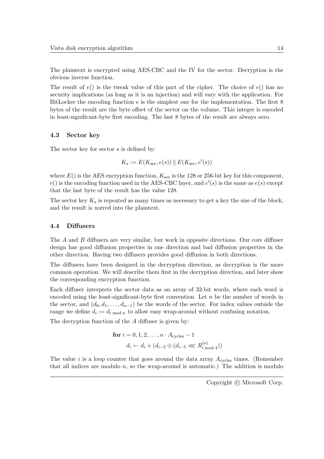The plaintext is encrypted using AES-CBC and the IV for the sector. Decryption is the obvious inverse function.

The result of  $e()$  is the tweak value of this part of the cipher. The choice of  $e()$  has no security implications (as long as it is an injection) and will vary with the application. For BitLocker the encoding function  $e$  is the simplest one for the implementation. The first 8 bytes of the result are the byte offset of the sector on the volume. This integer is encoded in least-significant-byte first encoding. The last 8 bytes of the result are always zero.

#### 4.3 Sector key

The sector key for sector  $s$  is defined by:

$$
K_s := E(K_{\text{sec}}, e(s)) \parallel E(K_{\text{sec}}, e'(s))
$$

where  $E()$  is the AES encryption function,  $K<sub>sec</sub>$  is the 128 or 256-bit key for this component,  $e()$  is the encoding function used in the AES-CBC layer, and  $e'(s)$  is the same as  $e(s)$  except that the last byte of the result has the value 128.

The sector key  $K_s$  is repeated as many times as necessary to get a key the size of the block, and the result is xorred into the plaintext.

#### 4.4 Diffusers

The A and B diffusers are very similar, but work in opposite directions. Our core diffuser design has good diffusion properties in one direction and bad diffusion properties in the other direction. Having two diffusers provides good diffusion in both directions.

The diffusers have been designed in the decryption direction, as decryption is the more common operation. We will describe them first in the decryption direction, and later show the corresponding encryption function.

Each diffuser interprets the sector data as an array of 32-bit words, where each word is encoded using the least-significant-byte first convention. Let  $n$  be the number of words in the sector, and  $(d_0, d_1, \ldots, d_{n-1})$  be the words of the sector. For index values outside the range we define  $d_i := d_{i \bmod n}$  to allow easy wrap-around without confusing notation.

The decryption function of the A diffuser is given by:

$$
\begin{aligned} \textbf{for } i = 0, 1, 2, \dots, n \cdot A_{\text{cycles}} - 1 \\ d_i &\leftarrow d_i + (d_{i-2} \oplus (d_{i-5} \lll R_{i \text{ mod } 4}^{(a)})) \end{aligned}
$$

The value i is a loop counter that goes around the data array  $A_{\text{cycles}}$  times. (Remember that all indices are modulo  $n$ , so the wrap-around is automatic.) The addition is modulo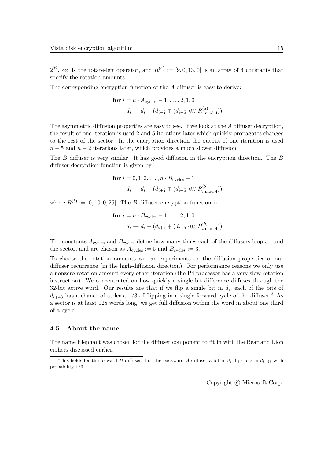$2^{32}$ ,  $\ll$  is the rotate-left operator, and  $R^{(a)} := [9,0,13,0]$  is an array of 4 constants that specify the rotation amounts.

The corresponding encryption function of the A diffuser is easy to derive:

for 
$$
i = n \cdot A_{\text{cycles}} - 1, ..., 2, 1, 0
$$
  
\n $d_i \leftarrow d_i - (d_{i-2} \oplus (d_{i-5} \lll R_{i \mod 4}^{(a)}))$ 

The asymmetric diffusion properties are easy to see. If we look at the A diffuser decryption, the result of one iteration is used 2 and 5 iterations later which quickly propagates changes to the rest of the sector. In the encryption direction the output of one iteration is used  $n-5$  and  $n-2$  iterations later, which provides a much slower diffusion.

The B diffuser is very similar. It has good diffusion in the encryption direction. The B diffuser decryption function is given by

for 
$$
i = 0, 1, 2, ..., n \cdot B_{\text{cycles}} - 1
$$
  
\n $d_i \leftarrow d_i + (d_{i+2} \oplus (d_{i+5} \lll R_{i \mod 4}^{(b)})$ 

where  $R^{(b)} := [0, 10, 0, 25]$ . The B diffuser encryption function is

for 
$$
i = n \cdot B_{\text{cycles}} - 1, ..., 2, 1, 0
$$
  
\n $d_i \leftarrow d_i - (d_{i+2} \oplus (d_{i+5} \lll R_{i \mod 4}^{(b)})$ 

The constants  $A_{\text{cycles}}$  and  $B_{\text{cycles}}$  define how many times each of the diffusers loop around the sector, and are chosen as  $A_{\text{cycles}} := 5$  and  $B_{\text{cycles}} := 3$ .

To choose the rotation amounts we ran experiments on the diffusion properties of our diffuser recurrence (in the high-diffusion direction). For performance reasons we only use a nonzero rotation amount every other iteration (the P4 processor has a very slow rotation instruction). We concentrated on how quickly a single bit difference diffuses through the 32-bit active word. Our results are that if we flip a single bit in  $d_i$ , each of the bits of  $d_{i+43}$  has a chance of at least  $1/3$  of flipping in a single forward cycle of the diffuser.<sup>3</sup> As a sector is at least 128 words long, we get full diffusion within the word in about one third of a cycle.

#### 4.5 About the name

The name Elephant was chosen for the diffuser component to fit in with the Bear and Lion ciphers discussed earlier.

<sup>&</sup>lt;sup>3</sup>This holds for the forward B diffuser. For the backward A diffuser a bit in  $d_i$  flips bits in  $d_{i-43}$  with probability 1/3.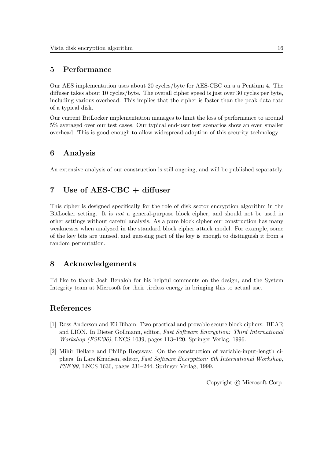### 5 Performance

Our AES implementation uses about 20 cycles/byte for AES-CBC on a a Pentium 4. The diffuser takes about 10 cycles/byte. The overall cipher speed is just over 30 cycles per byte, including various overhead. This implies that the cipher is faster than the peak data rate of a typical disk.

Our current BitLocker implementation manages to limit the loss of performance to around 5% averaged over our test cases. Our typical end-user test scenarios show an even smaller overhead. This is good enough to allow widespread adoption of this security technology.

## 6 Analysis

An extensive analysis of our construction is still ongoing, and will be published separately.

### 7 Use of AES-CBC + diffuser

This cipher is designed specifically for the role of disk sector encryption algorithm in the BitLocker setting. It is not a general-purpose block cipher, and should not be used in other settings without careful analysis. As a pure block cipher our construction has many weaknesses when analyzed in the standard block cipher attack model. For example, some of the key bits are unused, and guessing part of the key is enough to distinguish it from a random permutation.

### 8 Acknowledgements

I'd like to thank Josh Benaloh for his helpful comments on the design, and the System Integrity team at Microsoft for their tireless energy in bringing this to actual use.

### References

- [1] Ross Anderson and Eli Biham. Two practical and provable secure block ciphers: BEAR and LION. In Dieter Gollmann, editor, Fast Software Encryption: Third International Workshop (FSE'96), LNCS 1039, pages 113–120. Springer Verlag, 1996.
- [2] Mihir Bellare and Phillip Rogaway. On the construction of variable-input-length ciphers. In Lars Knudsen, editor, Fast Software Encryption: 6th International Workshop, FSE'99, LNCS 1636, pages 231–244. Springer Verlag, 1999.

Copyright  $\odot$  Microsoft Corp.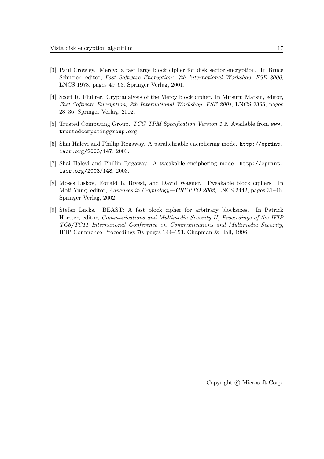- [3] Paul Crowley. Mercy: a fast large block cipher for disk sector encryption. In Bruce Schneier, editor, Fast Software Encryption: 7th International Workshop, FSE 2000, LNCS 1978, pages 49–63. Springer Verlag, 2001.
- [4] Scott R. Fluhrer. Cryptanalysis of the Mercy block cipher. In Mitsuru Matsui, editor, Fast Software Encryption, 8th International Workshop, FSE 2001, LNCS 2355, pages 28–36. Springer Verlag, 2002.
- [5] Trusted Computing Group. TCG TPM Specification Version 1.2. Available from www. trustedcomputinggroup.org.
- [6] Shai Halevi and Phillip Rogaway. A parallelizable enciphering mode. http://eprint. iacr.org/2003/147, 2003.
- [7] Shai Halevi and Phillip Rogaway. A tweakable enciphering mode. http://eprint. iacr.org/2003/148, 2003.
- [8] Moses Liskov, Ronald L. Rivest, and David Wagner. Tweakable block ciphers. In Moti Yung, editor, Advances in Cryptology—CRYPTO 2002, LNCS 2442, pages 31–46. Springer Verlag, 2002.
- [9] Stefan Lucks. BEAST: A fast block cipher for arbitrary blocksizes. In Patrick Horster, editor, Communications and Multimedia Security II, Proceedings of the IFIP TC6/TC11 International Conference on Communications and Multimedia Security, IFIP Conference Proceedings 70, pages 144–153. Chapman & Hall, 1996.